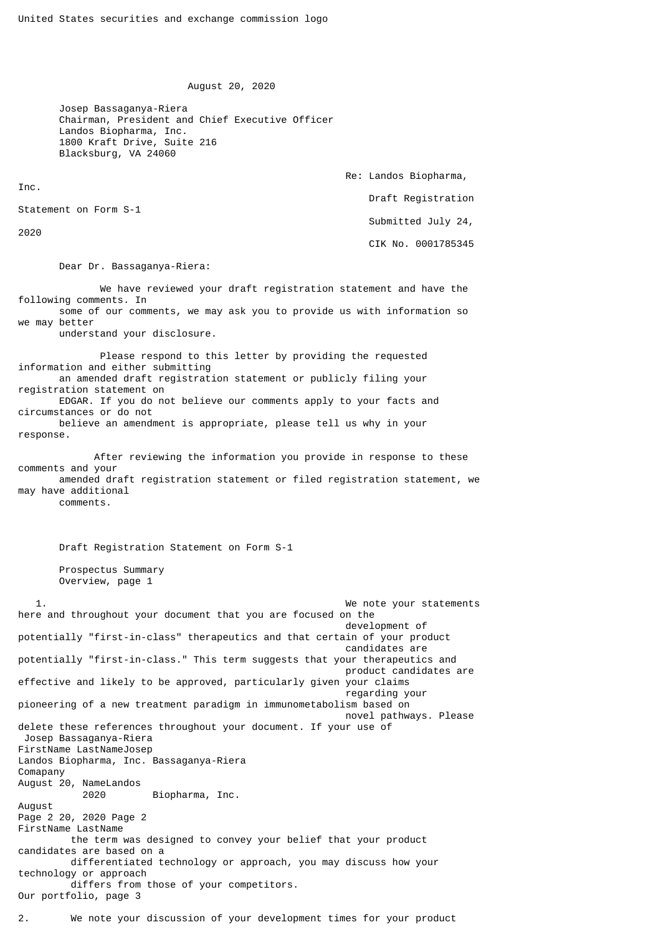August 20, 2020

 Josep Bassaganya-Riera Chairman, President and Chief Executive Officer Landos Biopharma, Inc. 1800 Kraft Drive, Suite 216 Blacksburg, VA 24060

Re: Landos Biopharma,

```
 Draft Registration
```
Submitted July 24,

Statement on Form S-1

2020

Inc.

CIK No. 0001785345

Dear Dr. Bassaganya-Riera:

 We have reviewed your draft registration statement and have the following comments. In some of our comments, we may ask you to provide us with information so we may better

understand your disclosure.

 Please respond to this letter by providing the requested information and either submitting an amended draft registration statement or publicly filing your registration statement on EDGAR. If you do not believe our comments apply to your facts and circumstances or do not believe an amendment is appropriate, please tell us why in your response.

 After reviewing the information you provide in response to these comments and your amended draft registration statement or filed registration statement, we may have additional comments.

Draft Registration Statement on Form S-1

 Prospectus Summary Overview, page 1

 1. We note your statements here and throughout your document that you are focused on the development of potentially "first-in-class" therapeutics and that certain of your product candidates are potentially "first-in-class." This term suggests that your therapeutics and product candidates are effective and likely to be approved, particularly given your claims regarding your pioneering of a new treatment paradigm in immunometabolism based on novel pathways. Please delete these references throughout your document. If your use of Josep Bassaganya-Riera FirstName LastNameJosep Landos Biopharma, Inc. Bassaganya-Riera Comapany August 20, NameLandos 2020 Biopharma, Inc. August Page 2 20, 2020 Page 2 FirstName LastName the term was designed to convey your belief that your product candidates are based on a differentiated technology or approach, you may discuss how your technology or approach differs from those of your competitors. Our portfolio, page 3

2. We note your discussion of your development times for your product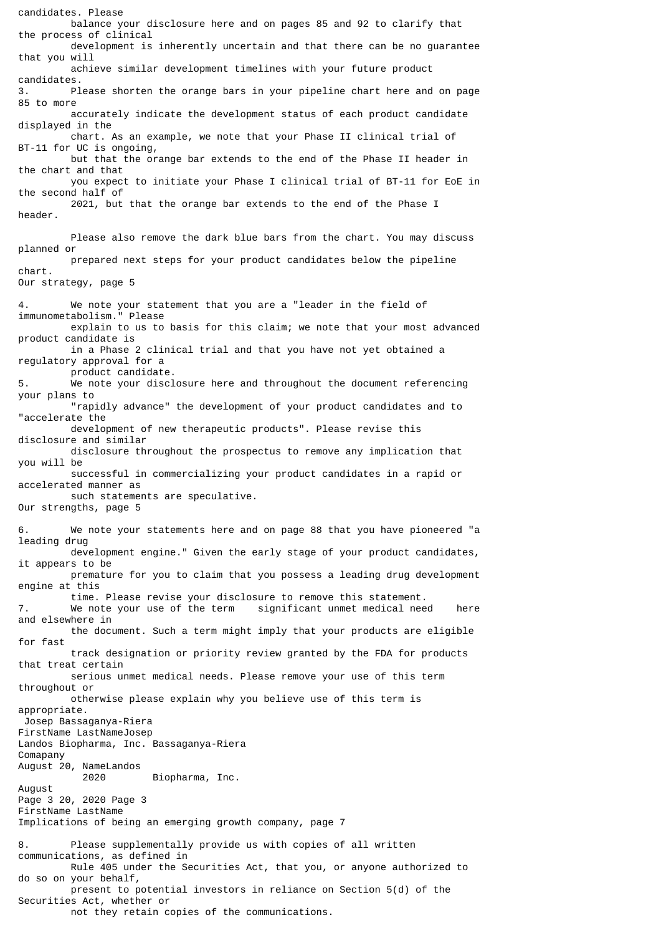candidates. Please balance your disclosure here and on pages 85 and 92 to clarify that the process of clinical development is inherently uncertain and that there can be no guarantee that you will achieve similar development timelines with your future product candidates. 3. Please shorten the orange bars in your pipeline chart here and on page 85 to more accurately indicate the development status of each product candidate displayed in the chart. As an example, we note that your Phase II clinical trial of BT-11 for UC is ongoing, but that the orange bar extends to the end of the Phase II header in the chart and that you expect to initiate your Phase I clinical trial of BT-11 for EoE in the second half of 2021, but that the orange bar extends to the end of the Phase I header. Please also remove the dark blue bars from the chart. You may discuss planned or prepared next steps for your product candidates below the pipeline chart. Our strategy, page 5 4. We note your statement that you are a "leader in the field of immunometabolism." Please explain to us to basis for this claim; we note that your most advanced product candidate is in a Phase 2 clinical trial and that you have not yet obtained a regulatory approval for a product candidate.<br>5. We note your discl We note your disclosure here and throughout the document referencing your plans to "rapidly advance" the development of your product candidates and to "accelerate the development of new therapeutic products". Please revise this disclosure and similar disclosure throughout the prospectus to remove any implication that you will be successful in commercializing your product candidates in a rapid or accelerated manner as such statements are speculative. Our strengths, page 5 6. We note your statements here and on page 88 that you have pioneered "a leading drug development engine." Given the early stage of your product candidates, it appears to be premature for you to claim that you possess a leading drug development engine at this time. Please revise your disclosure to remove this statement. 7. We note your use of the term significant unmet medical need here and elsewhere in the document. Such a term might imply that your products are eligible for fast track designation or priority review granted by the FDA for products that treat certain serious unmet medical needs. Please remove your use of this term throughout or otherwise please explain why you believe use of this term is appropriate. Josep Bassaganya-Riera FirstName LastNameJosep Landos Biopharma, Inc. Bassaganya-Riera Comapany August 20, NameLandos 2020 Biopharma, Inc. August Page 3 20, 2020 Page 3 FirstName LastName Implications of being an emerging growth company, page 7 8. Please supplementally provide us with copies of all written communications, as defined in Rule 405 under the Securities Act, that you, or anyone authorized to do so on your behalf, present to potential investors in reliance on Section 5(d) of the Securities Act, whether or not they retain copies of the communications.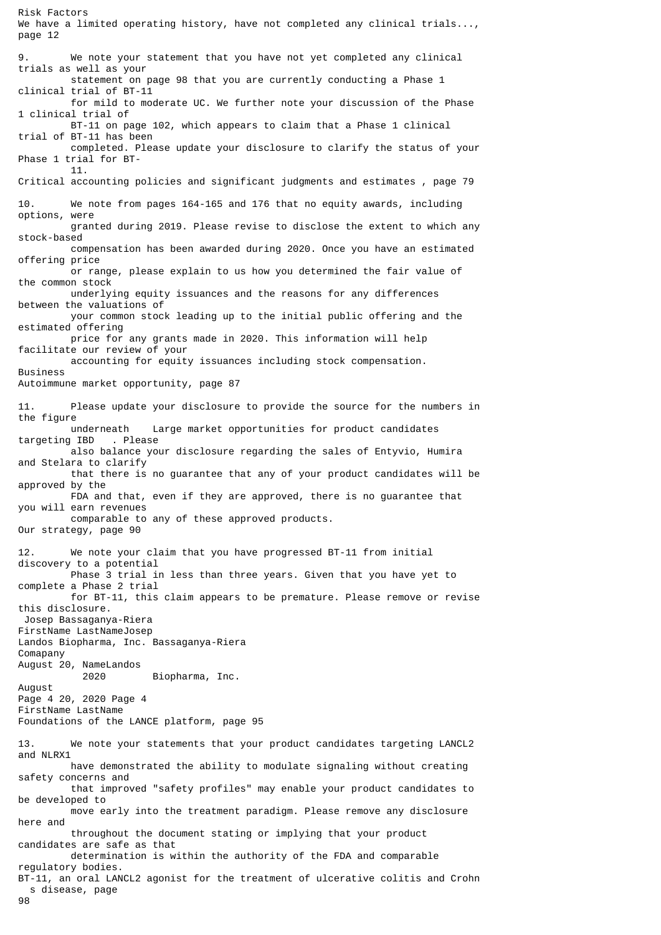We have a limited operating history, have not completed any clinical trials..., page 12 9. We note your statement that you have not yet completed any clinical trials as well as your statement on page 98 that you are currently conducting a Phase 1 clinical trial of BT-11 for mild to moderate UC. We further note your discussion of the Phase 1 clinical trial of BT-11 on page 102, which appears to claim that a Phase 1 clinical trial of BT-11 has been completed. Please update your disclosure to clarify the status of your Phase 1 trial for BT- 11. Critical accounting policies and significant judgments and estimates , page 79 10. We note from pages 164-165 and 176 that no equity awards, including options, were granted during 2019. Please revise to disclose the extent to which any stock-based compensation has been awarded during 2020. Once you have an estimated offering price or range, please explain to us how you determined the fair value of the common stock underlying equity issuances and the reasons for any differences between the valuations of your common stock leading up to the initial public offering and the estimated offering price for any grants made in 2020. This information will help facilitate our review of your accounting for equity issuances including stock compensation. **Business** Autoimmune market opportunity, page 87 11. Please update your disclosure to provide the source for the numbers in the figure underneath Large market opportunities for product candidates<br>| IBD . Please targeting IBD also balance your disclosure regarding the sales of Entyvio, Humira and Stelara to clarify that there is no guarantee that any of your product candidates will be approved by the FDA and that, even if they are approved, there is no guarantee that you will earn revenues comparable to any of these approved products. Our strategy, page 90 12. We note your claim that you have progressed BT-11 from initial discovery to a potential Phase 3 trial in less than three years. Given that you have yet to complete a Phase 2 trial for BT-11, this claim appears to be premature. Please remove or revise this disclosure. Josep Bassaganya-Riera FirstName LastNameJosep Landos Biopharma, Inc. Bassaganya-Riera Comapany August 20, NameLandos 2020 Biopharma, Inc. August Page 4 20, 2020 Page 4 FirstName LastName Foundations of the LANCE platform, page 95 13. We note your statements that your product candidates targeting LANCL2 and NLRX1 have demonstrated the ability to modulate signaling without creating safety concerns and that improved "safety profiles" may enable your product candidates to be developed to move early into the treatment paradigm. Please remove any disclosure here and throughout the document stating or implying that your product candidates are safe as that determination is within the authority of the FDA and comparable regulatory bodies. BT-11, an oral LANCL2 agonist for the treatment of ulcerative colitis and Crohn s disease, page

98

Risk Factors